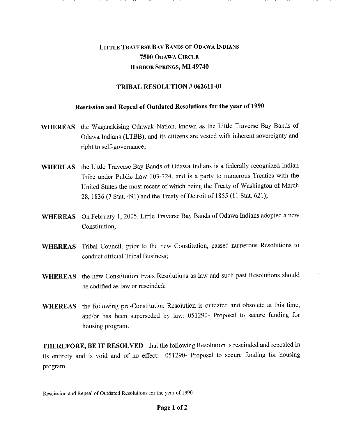## LITTLE TRAVERSE BAY BANDS OF ODAWA INDIANS 7500 ODAWA CIRCLE HARBOR SPRINGS, MI 49740

## TRIBAL RESOLUTION # 062611-01

## Rescission and Repeal of Outdated Resolutions for the year of 1990

- WHEREAS the Waganakising Odawak Nation, known as the Little Traverse Bay Bands of Odawa Indians (LTBB), and its citizens are vested with inherent sovereignty and right to self-governance;
- WHEREAS the Little Traverse Bay Bands of Odawa Indians is a federally recognized Indian Tribe under Public Law 103-324, and is a party to numerous Treaties with the United States the most recent of which being the Treaty of Washington of March 28, 1836 (7 Stat. 491) and the Treaty of Detroit of 1855 (11 Stat. 621);
- WHEREAS On February 1, 2005, Little Traverse Bay Bands of Odawa Indians adopted a new Constitution;
- WHEREAS Tribal Council, prior to the new Constitution, passed numerous Resolutions to conduct official Tribal Business;
- WHEREAS the new Constitution treats Resolutions as law and such past Resolutions should be codified as law or rescinded;
- WHEREAS the following pre-Constitution Resolution is outdated and obsolete at this time, and/or has been superseded by law: 051290- Proposal to secure funding for housing program.

THEREFORE, BE IT RESOLVED that the following Resolution is rescinded and repealed in its entirety and is void and of no effect: 051290- Proposal to secure funding for housing program.